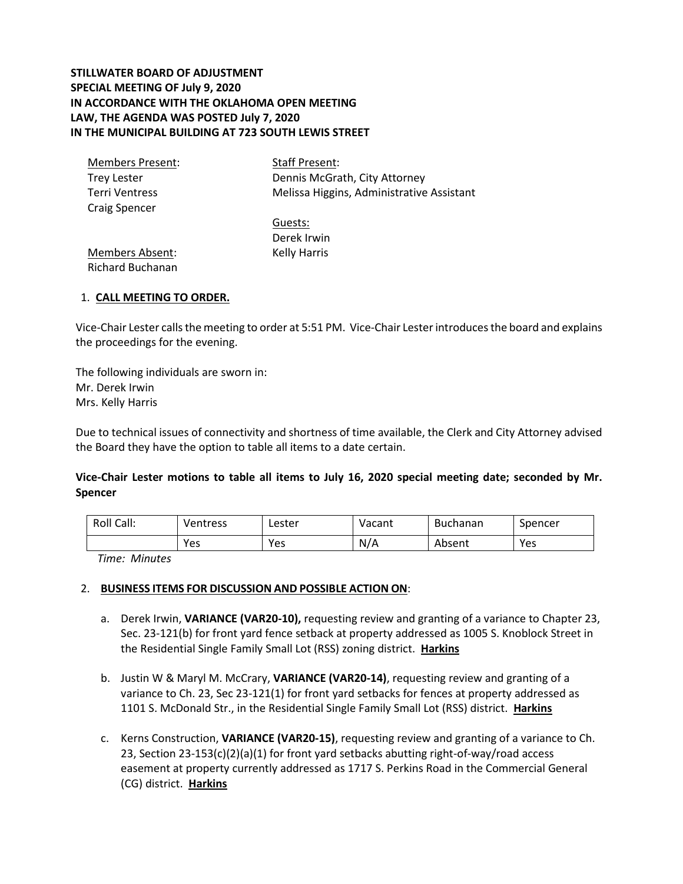## **STILLWATER BOARD OF ADJUSTMENT SPECIAL MEETING OF July 9, 2020 IN ACCORDANCE WITH THE OKLAHOMA OPEN MEETING LAW, THE AGENDA WAS POSTED July 7, 2020 IN THE MUNICIPAL BUILDING AT 723 SOUTH LEWIS STREET**

| Members Present:     | <b>Staff Present:</b>                     |
|----------------------|-------------------------------------------|
| <b>Trey Lester</b>   | Dennis McGrath, City Attorney             |
| Terri Ventress       | Melissa Higgins, Administrative Assistant |
| <b>Craig Spencer</b> |                                           |

Guests: Derek Irwin Kelly Harris

Members Absent: Richard Buchanan

## 1. **CALL MEETING TO ORDER.**

Vice-Chair Lester calls the meeting to order at 5:51 PM. Vice-Chair Lesterintroduces the board and explains the proceedings for the evening.

The following individuals are sworn in: Mr. Derek Irwin Mrs. Kelly Harris

Due to technical issues of connectivity and shortness of time available, the Clerk and City Attorney advised the Board they have the option to table all items to a date certain.

**Vice-Chair Lester motions to table all items to July 16, 2020 special meeting date; seconded by Mr. Spencer**

| Roll Call: | Ventress | Lester | Vacant | <b>Buchanan</b> | Spencer |
|------------|----------|--------|--------|-----------------|---------|
|            | Yes      | Yes    | N/A    | Absent          | Yes     |

*Time: Minutes*

## 2. **BUSINESS ITEMS FOR DISCUSSION AND POSSIBLE ACTION ON**:

- a. Derek Irwin, **VARIANCE (VAR20-10),** requesting review and granting of a variance to Chapter 23, Sec. 23-121(b) for front yard fence setback at property addressed as 1005 S. Knoblock Street in the Residential Single Family Small Lot (RSS) zoning district. **Harkins**
- b. Justin W & Maryl M. McCrary, **VARIANCE (VAR20-14)**, requesting review and granting of a variance to Ch. 23, Sec 23-121(1) for front yard setbacks for fences at property addressed as 1101 S. McDonald Str., in the Residential Single Family Small Lot (RSS) district. **Harkins**
- c. Kerns Construction, **VARIANCE (VAR20-15)**, requesting review and granting of a variance to Ch. 23, Section 23-153(c)(2)(a)(1) for front yard setbacks abutting right-of-way/road access easement at property currently addressed as 1717 S. Perkins Road in the Commercial General (CG) district. **Harkins**